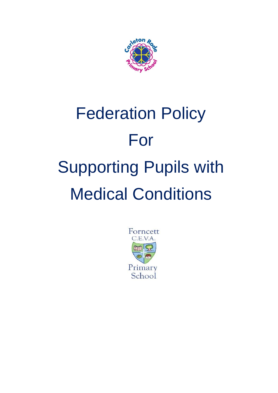

# Federation Policy For Supporting Pupils with Medical Conditions

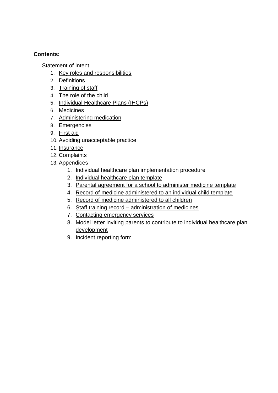#### **Contents:**

Statement of Intent

- 1. [Key roles and responsibilities](#page-3-0)
- 2. [Definitions](#page-6-0)
- 3. [Training of staff](#page-6-1)
- 4. [The role of the child](#page-6-2)
- 5. [Individual Healthcare Plans \(IHCPs\)](#page-7-0)
- 6. [Medicines](#page-7-1)
- 7. [Administering medication](#page-8-0)
- 8. [Emergencies](#page-9-0)
- 9. [First aid](#page-9-1)
- 10. [Avoiding unacceptable practice](#page-10-0)
- 11. [Insurance](#page-11-0)
- 12. [Complaints](#page-11-1)
- 13. Appendices
	- 1. [Individual healthcare plan implementation procedure](#page-12-0)
	- 2. [Individual healthcare plan template](#page-13-0)
	- 3. [Parental agreement for a school to administer medicine template](#page-15-0)
	- 4. [Record of medicine administered to an individual child template](#page-16-0)
	- 5. [Record of medicine administered to all children](#page-19-0)
	- 6. Staff training record [administration of medicines](#page-20-0)
	- 7. [Contacting emergency services](#page-20-1)
	- 8. [Model letter inviting parents to contribute to individual healthcare plan](#page-22-0)  [development](#page-22-0)
	- 9. [Incident reporting form](#page-23-0)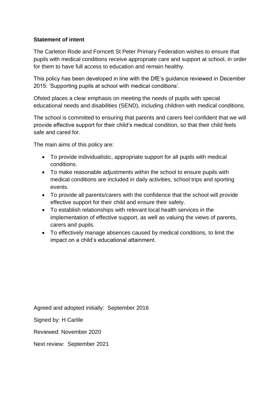#### **Statement of intent**

The Carleton Rode and Forncett St Peter Primary Federation wishes to ensure that pupils with medical conditions receive appropriate care and support at school, in order for them to have full access to education and remain healthy.

This policy has been developed in line with the DfE's guidance reviewed in December 2015: 'Supporting pupils at school with medical conditions'.

Ofsted places a clear emphasis on meeting the needs of pupils with special educational needs and disabilities (SEND), including children with medical conditions.

The school is committed to ensuring that parents and carers feel confident that we will provide effective support for their child's medical condition, so that their child feels safe and cared for.

The main aims of this policy are:

- To provide individualistic, appropriate support for all pupils with medical conditions.
- To make reasonable adjustments within the school to ensure pupils with medical conditions are included in daily activities, school trips and sporting events.
- To provide all parents/carers with the confidence that the school will provide effective support for their child and ensure their safety.
- To establish relationships with relevant local health services in the implementation of effective support, as well as valuing the views of parents, carers and pupils.
- To effectively manage absences caused by medical conditions, to limit the impact on a child's educational attainment.

Agreed and adopted initially: September 2016

Signed by: H Carlile

Reviewed: November 2020

Next review: September 2021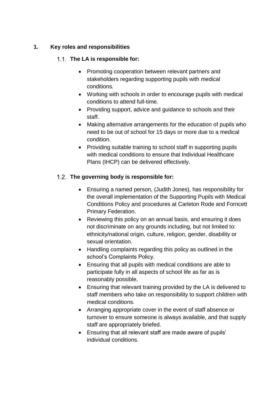#### <span id="page-3-0"></span>**1. Key roles and responsibilities**

#### **The LA is responsible for:**

- Promoting cooperation between relevant partners and stakeholders regarding supporting pupils with medical conditions.
- Working with schools in order to encourage pupils with medical conditions to attend full-time.
- Providing support, advice and guidance to schools and their staff.
- Making alternative arrangements for the education of pupils who need to be out of school for 15 days or more due to a medical condition.
- Providing suitable training to school staff in supporting pupils with medical conditions to ensure that Individual Healthcare Plans (IHCP) can be delivered effectively.

# **The governing body is responsible for:**

- Ensuring a named person, (Judith Jones), has responsibility for the overall implementation of the Supporting Pupils with Medical Conditions Policy and procedures at Carleton Rode and Forncett Primary Federation.
- Reviewing this policy on an annual basis, and ensuring it does not discriminate on any grounds including, but not limited to: ethnicity/national origin, culture, religion, gender, disability or sexual orientation.
- Handling complaints regarding this policy as outlined in the school's Complaints Policy.
- Ensuring that all pupils with medical conditions are able to participate fully in all aspects of school life as far as is reasonably possible.
- Ensuring that relevant training provided by the LA is delivered to staff members who take on responsibility to support children with medical conditions.
- Arranging appropriate cover in the event of staff absence or turnover to ensure someone is always available, and that supply staff are appropriately briefed.
- Ensuring that all relevant staff are made aware of pupils' individual conditions.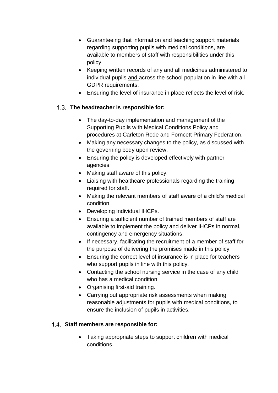- Guaranteeing that information and teaching support materials regarding supporting pupils with medical conditions, are available to members of staff with responsibilities under this policy.
- Keeping written records of any and all medicines administered to [individual pupils](#page-16-0) and across the school population in line with all GDPR requirements.
- Ensuring the level of insurance in place reflects the level of risk.

# **The headteacher is responsible for:**

- The day-to-day implementation and management of the Supporting Pupils with Medical Conditions Policy and procedures at Carleton Rode and Forncett Primary Federation.
- Making any necessary changes to the policy, as discussed with the governing body upon review.
- Ensuring the policy is developed effectively with partner agencies.
- Making staff aware of this policy.
- Liaising with healthcare professionals regarding the training required for staff.
- Making the relevant members of staff aware of a child's medical condition.
- Developing individual IHCPs.
- Ensuring a sufficient number of trained members of staff are available to implement the policy and deliver IHCPs in normal, contingency and emergency situations.
- If necessary, facilitating the recruitment of a member of staff for the purpose of delivering the promises made in this policy.
- Ensuring the correct level of insurance is in place for teachers who support pupils in line with this policy.
- Contacting the school nursing service in the case of any child who has a medical condition.
- Organising first-aid training.
- Carrying out appropriate risk assessments when making reasonable adjustments for pupils with medical conditions, to ensure the inclusion of pupils in activities.

# **Staff members are responsible for:**

 Taking appropriate steps to support children with medical conditions.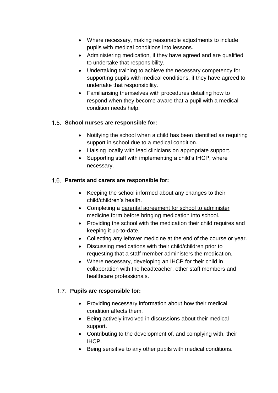- Where necessary, making reasonable adjustments to include pupils with medical conditions into lessons.
- Administering medication, if they have agreed and are qualified to undertake that responsibility.
- Undertaking training to achieve the necessary competency for supporting pupils with medical conditions, if they have agreed to undertake that responsibility.
- Familiarising themselves with procedures detailing how to respond when they become aware that a pupil with a medical condition needs help.

#### **School nurses are responsible for:**

- Notifying the school when a child has been identified as requiring support in school due to a medical condition.
- Liaising locally with lead clinicians on appropriate support.
- Supporting staff with implementing a child's IHCP, where necessary.

#### **Parents and carers are responsible for:**

- Keeping the school informed about any changes to their child/children's health.
- Completing a [parental agreement for school to administer](#page-15-0)  [medicine](#page-15-0) form before bringing medication into school.
- Providing the school with the medication their child requires and keeping it up-to-date.
- Collecting any leftover medicine at the end of the course or year.
- Discussing medications with their child/children prior to requesting that a staff member administers the medication.
- Where necessary, developing an [IHCP](#page-12-0) for their child in collaboration with the headteacher, other staff members and healthcare professionals.

#### **Pupils are responsible for:**

- Providing necessary information about how their medical condition affects them.
- Being actively involved in discussions about their medical support.
- Contributing to the development of, and complying with, their IHCP.
- Being sensitive to any other pupils with medical conditions.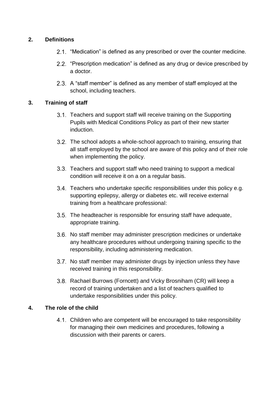#### <span id="page-6-0"></span>**2. Definitions**

- 2.1. "Medication" is defined as any prescribed or over the counter medicine.
- 2.2. "Prescription medication" is defined as any drug or device prescribed by a doctor.
- 2.3. A "staff member" is defined as any member of staff employed at the school, including teachers.

#### <span id="page-6-1"></span>**3. Training of staff**

- 3.1. Teachers and support staff will receive training on the Supporting Pupils with Medical Conditions Policy as part of their new starter induction.
- 3.2. The school adopts a whole-school approach to training, ensuring that all staff employed by the school are aware of this policy and of their role when implementing the policy.
- 3.3. Teachers and support staff who need training to support a medical condition will receive it on a on a regular basis.
- 3.4. Teachers who undertake specific responsibilities under this policy e.g. supporting epilepsy, allergy or diabetes etc. will receive external training from a healthcare professional:
- 3.5. The headteacher is responsible for ensuring staff have adequate, appropriate training.
- 3.6. No staff member may administer prescription medicines or undertake any healthcare procedures without undergoing training specific to the responsibility, including administering medication.
- 3.7. No staff member may administer drugs by injection unless they have received training in this responsibility.
- 3.8. Rachael Burrows (Forncett) and Vicky Brosniham (CR) will keep a record of training undertaken and a list of teachers qualified to undertake responsibilities under this policy.

#### <span id="page-6-2"></span>**4. The role of the child**

4.1. Children who are competent will be encouraged to take responsibility for managing their own medicines and procedures, following a discussion with their parents or carers.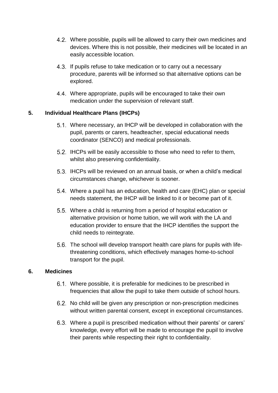- Where possible, pupils will be allowed to carry their own medicines and devices. Where this is not possible, their medicines will be located in an easily accessible location.
- 4.3. If pupils refuse to take medication or to carry out a necessary procedure, parents will be informed so that alternative options can be explored.
- Where appropriate, pupils will be encouraged to take their own medication under the supervision of relevant staff.

#### <span id="page-7-0"></span>**5. Individual Healthcare Plans (IHCPs)**

- Where necessary, an IHCP will be developed in collaboration with the pupil, parents or carers, headteacher, special educational needs coordinator (SENCO) and medical professionals.
- 5.2. IHCPs will be easily accessible to those who need to refer to them, whilst also preserving confidentiality.
- 5.3. IHCPs will be reviewed on an annual basis, or when a child's medical circumstances change, whichever is sooner.
- Where a pupil has an education, health and care (EHC) plan or special needs statement, the IHCP will be linked to it or become part of it.
- Where a child is returning from a period of hospital education or alternative provision or home tuition, we will work with the LA and education provider to ensure that the IHCP identifies the support the child needs to reintegrate.
- 5.6. The school will develop transport health care plans for pupils with lifethreatening conditions, which effectively manages home-to-school transport for the pupil.

#### <span id="page-7-1"></span>**6. Medicines**

- Where possible, it is preferable for medicines to be prescribed in frequencies that allow the pupil to take them outside of school hours.
- 6.2. No child will be given any prescription or non-prescription medicines without written parental consent, except in exceptional circumstances.
- Where a pupil is prescribed medication without their parents' or carers' knowledge, every effort will be made to encourage the pupil to involve their parents while respecting their right to confidentiality.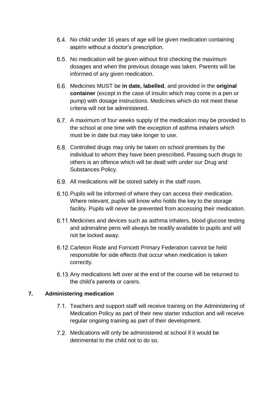- 6.4. No child under 16 years of age will be given medication containing aspirin without a doctor's prescription.
- 6.5. No medication will be given without first checking the maximum dosages and when the previous dosage was taken. Parents will be informed of any given medication.
- Medicines MUST be **in date, labelled**, and provided in the **original container** (except in the case of insulin which may come in a pen or pump) with dosage instructions. Medicines which do not meet these criteria will not be administered.
- 6.7. A maximum of four weeks supply of the medication may be provided to the school at one time with the exception of asthma inhalers which must be in date but may take longer to use.
- 6.8. Controlled drugs may only be taken on school premises by the individual to whom they have been prescribed. Passing such drugs to others is an offence which will be dealt with under our Drug and Substances Policy.
- All medications will be stored safely in the staff room.
- 6.10. Pupils will be informed of where they can access their medication. Where relevant, pupils will know who holds the key to the storage facility. Pupils will never be prevented from accessing their medication.
- 6.11. Medicines and devices such as asthma inhalers, blood glucose testing and adrenaline pens will always be readily available to pupils and will not be locked away.
- Carleton Rode and Forncett Primary Federation cannot be held responsible for side effects that occur when medication is taken correctly.
- 6.13. Any medications left over at the end of the course will be returned to the child's parents or carers.

# <span id="page-8-0"></span>**7. Administering medication**

- 7.1. Teachers and support staff will receive training on the Administering of Medication Policy as part of their new starter induction and will receive regular ongoing training as part of their development.
- 7.2. Medications will only be administered at school if it would be detrimental to the child not to do so.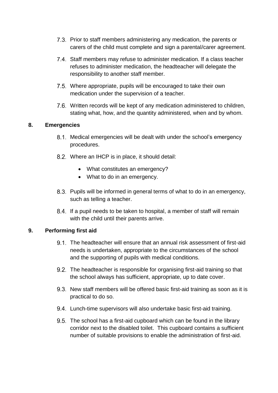- Prior to staff members administering any medication, the parents or carers of the child must complete and sign a parental/carer agreement.
- 7.4. Staff members may refuse to administer medication. If a class teacher refuses to administer medication, the headteacher will delegate the responsibility to another staff member.
- 7.5. Where appropriate, pupils will be encouraged to take their own medication under the supervision of a teacher.
- 7.6. Written records will be kept of any medication administered to children, stating what, how, and the quantity administered, when and by whom.

#### <span id="page-9-0"></span>**8. Emergencies**

- 8.1. Medical emergencies will be dealt with under the school's emergency procedures.
- Where an IHCP is in place, it should detail:
	- What constitutes an emergency?
	- What to do in an emergency.
- 8.3. Pupils will be informed in general terms of what to do in an emergency, such as telling a teacher.
- 8.4. If a pupil needs to be taken to hospital, a member of staff will remain with the child until their parents arrive.

#### <span id="page-9-1"></span>**9. Performing first aid**

- The headteacher will ensure that an annual risk assessment of first-aid needs is undertaken, appropriate to the circumstances of the school and the supporting of pupils with medical conditions.
- 9.2. The headteacher is responsible for organising first-aid training so that the school always has sufficient, appropriate, up to date cover.
- 9.3. New staff members will be offered basic first-aid training as soon as it is practical to do so.
- 9.4. Lunch-time supervisors will also undertake basic first-aid training.
- 9.5. The school has a first-aid cupboard which can be found in the library corridor next to the disabled toilet. This cupboard contains a sufficient number of suitable provisions to enable the administration of first-aid.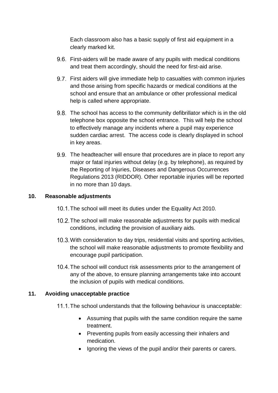Each classroom also has a basic supply of first aid equipment in a clearly marked kit.

- 9.6. First-aiders will be made aware of any pupils with medical conditions and treat them accordingly, should the need for first-aid arise.
- 9.7. First aiders will give immediate help to casualties with common injuries and those arising from specific hazards or medical conditions at the school and ensure that an ambulance or other professional medical help is called where appropriate.
- 9.8. The school has access to the community defibrillator which is in the old telephone box opposite the school entrance. This will help the school to effectively manage any incidents where a pupil may experience sudden cardiac arrest. The access code is clearly displayed in school in key areas.
- 9.9. The headteacher will ensure that procedures are in place to report any major or fatal injuries without delay (e.g. by telephone), as required by the Reporting of Injuries, Diseases and Dangerous Occurrences Regulations 2013 (RIDDOR). Other reportable injuries will be reported in no more than 10 days.

#### <span id="page-10-0"></span>**10. Reasonable adjustments**

- 10.1. The school will meet its duties under the Equality Act 2010.
- 10.2. The school will make reasonable adjustments for pupils with medical conditions, including the provision of auxiliary aids.
- 10.3. With consideration to day trips, residential visits and sporting activities, the school will make reasonable adjustments to promote flexibility and encourage pupil participation.
- 10.4. The school will conduct risk assessments prior to the arrangement of any of the above, to ensure planning arrangements take into account the inclusion of pupils with medical conditions.

#### **11. Avoiding unacceptable practice**

- 11.1. The school understands that the following behaviour is unacceptable:
	- Assuming that pupils with the same condition require the same treatment.
	- Preventing pupils from easily accessing their inhalers and medication.
	- Ignoring the views of the pupil and/or their parents or carers.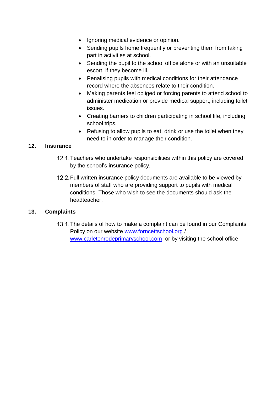- Ignoring medical evidence or opinion.
- Sending pupils home frequently or preventing them from taking part in activities at school.
- Sending the pupil to the school office alone or with an unsuitable escort, if they become ill.
- Penalising pupils with medical conditions for their attendance record where the absences relate to their condition.
- Making parents feel obliged or forcing parents to attend school to administer medication or provide medical support, including toilet issues.
- Creating barriers to children participating in school life, including school trips.
- Refusing to allow pupils to eat, drink or use the toilet when they need to in order to manage their condition.

#### <span id="page-11-0"></span>**12. Insurance**

- 12.1. Teachers who undertake responsibilities within this policy are covered by the school's insurance policy.
- 12.2. Full written insurance policy documents are available to be viewed by members of staff who are providing support to pupils with medical conditions. Those who wish to see the documents should ask the headteacher.

# <span id="page-11-1"></span>**13. Complaints**

13.1. The details of how to make a complaint can be found in our Complaints Policy on our website [www.forncettschool.org](http://www.forncettschool.org/) / [www.carletonrodeprimaryschool.com](http://www.carletonrodeprimaryschool.com/) or by visiting the school office.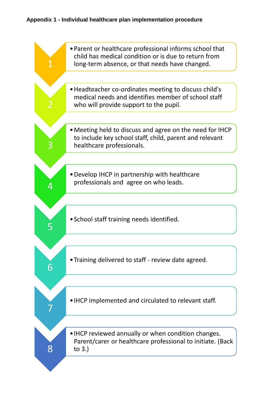# <span id="page-12-0"></span>**Appendix 1 - Individual healthcare plan implementation procedure**

|   | • Parent or healthcare professional informs school that<br>child has medical condition or is due to return from<br>long-term absence, or that needs have changed. |
|---|-------------------------------------------------------------------------------------------------------------------------------------------------------------------|
|   |                                                                                                                                                                   |
|   | • Headteacher co-ordinates meeting to discuss child's<br>medical needs and identifies member of school staff<br>who will provide support to the pupil.            |
|   |                                                                                                                                                                   |
|   | • Meeting held to discuss and agree on the need for IHCP<br>to include key school staff, child, parent and relevant<br>healthcare professionals.                  |
|   |                                                                                                                                                                   |
|   | • Develop IHCP in partnership with healthcare<br>professionals and agree on who leads.                                                                            |
|   |                                                                                                                                                                   |
|   | • School staff training needs identified.                                                                                                                         |
|   |                                                                                                                                                                   |
| 6 | • Training delivered to staff - review date agreed.                                                                                                               |
|   |                                                                                                                                                                   |
|   | • IHCP implemented and circulated to relevant staff.                                                                                                              |
|   |                                                                                                                                                                   |
|   | • IHCP reviewed annually or when condition changes.<br>Parent/carer or healthcare professional to initiate. (Back<br>to $3.$ )                                    |
|   |                                                                                                                                                                   |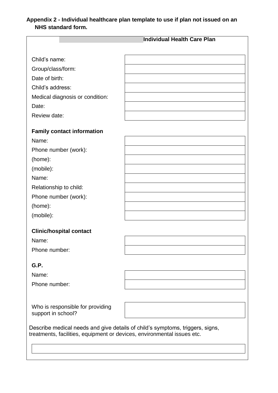# <span id="page-13-0"></span>**Appendix 2 - Individual healthcare plan template to use if plan not issued on an NHS standard form.**

|                                                                         | <b>Individual Health Care Plan</b>                                            |
|-------------------------------------------------------------------------|-------------------------------------------------------------------------------|
|                                                                         |                                                                               |
| Child's name:                                                           |                                                                               |
| Group/class/form:                                                       |                                                                               |
| Date of birth:                                                          |                                                                               |
| Child's address:                                                        |                                                                               |
| Medical diagnosis or condition:                                         |                                                                               |
| Date:                                                                   |                                                                               |
| Review date:                                                            |                                                                               |
| <b>Family contact information</b>                                       |                                                                               |
| Name:                                                                   |                                                                               |
| Phone number (work):                                                    |                                                                               |
| (home):                                                                 |                                                                               |
| (mobile):                                                               |                                                                               |
| Name:                                                                   |                                                                               |
| Relationship to child:                                                  |                                                                               |
| Phone number (work):                                                    |                                                                               |
| (home):                                                                 |                                                                               |
| (mobile):                                                               |                                                                               |
| <b>Clinic/hospital contact</b>                                          |                                                                               |
| Name:                                                                   |                                                                               |
| Phone number:                                                           |                                                                               |
| G.P.                                                                    |                                                                               |
| Name:                                                                   |                                                                               |
| Phone number:                                                           |                                                                               |
|                                                                         |                                                                               |
| Who is responsible for providing<br>support in school?                  |                                                                               |
| treatments, facilities, equipment or devices, environmental issues etc. | Describe medical needs and give details of child's symptoms, triggers, signs, |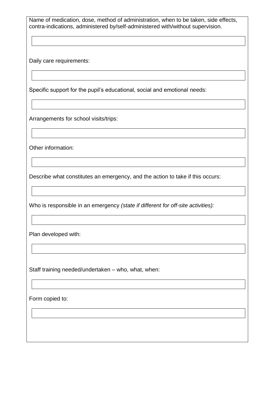Name of medication, dose, method of administration, when to be taken, side effects, contra-indications, administered by/self-administered with/without supervision.

Daily care requirements:

Specific support for the pupil's educational, social and emotional needs:

Arrangements for school visits/trips:

Other information:

Describe what constitutes an emergency, and the action to take if this occurs:

Who is responsible in an emergency *(state if different for off-site activities):*

Plan developed with:

Staff training needed/undertaken – who, what, when:

Form copied to: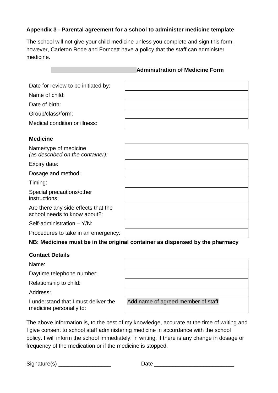#### <span id="page-15-0"></span>**Appendix 3 - Parental agreement for a school to administer medicine template**

The school will not give your child medicine unless you complete and sign this form, however, Carleton Rode and Forncett have a policy that the staff can administer medicine.

#### **Administration of Medicine Form**

Date for review to be initiated by:

Name of child:

Date of birth:

Group/class/form:

Medical condition or illness:

#### **Medicine**

Name/type of medicine *(as described on the container):*

Expiry date:

Dosage and method:

Timing:

Special precautions/other instructions:

Are there any side effects that the school needs to know about?:

Self-administration – Y/N:

Procedures to take in an emergency:

#### **NB: Medicines must be in the original container as dispensed by the pharmacy**

#### **Contact Details**

Name:

Daytime telephone number:

Relationship to child:

Address:

I understand that I must deliver the medicine personally to:

| Add name of agreed member of staff |
|------------------------------------|

The above information is, to the best of my knowledge, accurate at the time of writing and I give consent to school staff administering medicine in accordance with the school policy. I will inform the school immediately, in writing, if there is any change in dosage or frequency of the medication or if the medicine is stopped.

Signature(s) \_\_\_\_\_\_\_\_\_\_\_\_\_\_\_\_\_ Date \_\_\_\_\_\_\_\_\_\_\_\_\_\_\_\_\_\_\_\_\_\_\_\_\_\_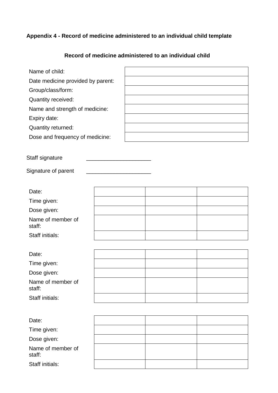# <span id="page-16-0"></span>**Appendix 4 - Record of medicine administered to an individual child template**

# **Record of medicine administered to an individual child**

| Name of child:                    |  |
|-----------------------------------|--|
| Date medicine provided by parent: |  |
| Group/class/form:                 |  |
| Quantity received:                |  |
| Name and strength of medicine:    |  |
| Expiry date:                      |  |
| Quantity returned:                |  |
| Dose and frequency of medicine:   |  |
|                                   |  |

Staff signature \_\_\_\_\_\_\_\_\_\_\_\_\_\_\_\_\_\_\_\_\_

Signature of parent \_\_\_\_\_\_\_\_\_\_\_\_\_\_\_\_\_\_\_\_\_

| Date:                       |  |  |
|-----------------------------|--|--|
| Time given:                 |  |  |
| Dose given:                 |  |  |
| Name of member of<br>staff: |  |  |
| Staff initials:             |  |  |

| Date:                       |  |  |
|-----------------------------|--|--|
| Time given:                 |  |  |
| Dose given:                 |  |  |
| Name of member of<br>staff: |  |  |
| Staff initials:             |  |  |

| Date:                       |  |  |
|-----------------------------|--|--|
| Time given:                 |  |  |
| Dose given:                 |  |  |
| Name of member of<br>staff: |  |  |
| Staff initials:             |  |  |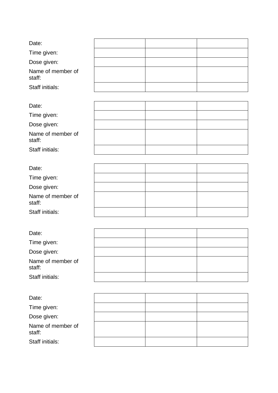| Date:                       |  |  |
|-----------------------------|--|--|
| Time given:                 |  |  |
| Dose given:                 |  |  |
| Name of member of<br>staff: |  |  |
| Staff initials:             |  |  |
|                             |  |  |
| Date:                       |  |  |
| Time given:                 |  |  |
| Dose given:                 |  |  |
| Name of member of<br>staff: |  |  |
| <b>Staff initials:</b>      |  |  |
|                             |  |  |
| Date:                       |  |  |
| Time given:                 |  |  |
| Dose given:                 |  |  |
| Name of member of<br>staff: |  |  |
| <b>Staff initials:</b>      |  |  |
|                             |  |  |
| Date:                       |  |  |
| Time given:                 |  |  |
| Dose given:                 |  |  |
| Name of member of<br>staff: |  |  |
| Staff initials:             |  |  |
|                             |  |  |
| Date:                       |  |  |
| Time given:                 |  |  |
| Dose given:                 |  |  |
| Name of member of<br>staff: |  |  |
| Staff initials:             |  |  |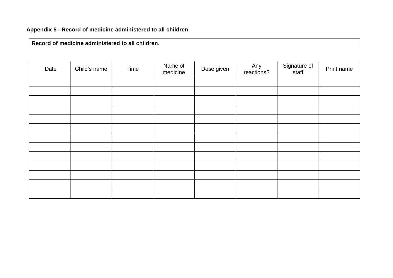**Record of medicine administered to all children.**

<span id="page-19-0"></span>

| Date | Child's name | Time | Name of<br>medicine | Dose given | Any<br>reactions? | Signature of<br>staff | Print name |
|------|--------------|------|---------------------|------------|-------------------|-----------------------|------------|
|      |              |      |                     |            |                   |                       |            |
|      |              |      |                     |            |                   |                       |            |
|      |              |      |                     |            |                   |                       |            |
|      |              |      |                     |            |                   |                       |            |
|      |              |      |                     |            |                   |                       |            |
|      |              |      |                     |            |                   |                       |            |
|      |              |      |                     |            |                   |                       |            |
|      |              |      |                     |            |                   |                       |            |
|      |              |      |                     |            |                   |                       |            |
|      |              |      |                     |            |                   |                       |            |
|      |              |      |                     |            |                   |                       |            |
|      |              |      |                     |            |                   |                       |            |
|      |              |      |                     |            |                   |                       |            |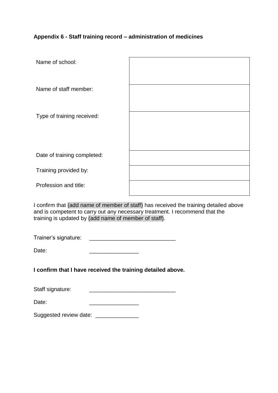#### <span id="page-20-0"></span>**Appendix 6 - Staff training record – administration of medicines**

| Name of school:             |  |
|-----------------------------|--|
| Name of staff member:       |  |
| Type of training received:  |  |
| Date of training completed: |  |
| Training provided by:       |  |
| Profession and title:       |  |

I confirm that (add name of member of staff) has received the training detailed above and is competent to carry out any necessary treatment. I recommend that the training is updated by (add name of member of staff).

Trainer's signature: \_\_\_\_\_\_\_\_\_\_\_\_\_\_\_\_\_\_\_\_\_\_\_\_\_\_\_\_

Date: \_\_\_\_\_\_\_\_\_\_\_\_\_\_\_\_

**I confirm that I have received the training detailed above.**

| Staff signature: |  |
|------------------|--|
|                  |  |

<span id="page-20-1"></span>Suggested review date: \_\_\_\_\_\_\_\_\_\_\_\_\_\_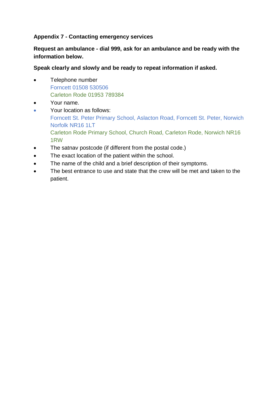#### **Appendix 7 - Contacting emergency services**

**Request an ambulance - dial 999, ask for an ambulance and be ready with the information below.**

**Speak clearly and slowly and be ready to repeat information if asked.**

- Telephone number Forncett 01508 530506 Carleton Rode 01953 789384
- Your name.
- Your location as follows: Forncett St. Peter Primary School, Aslacton Road, Forncett St. Peter, Norwich Norfolk NR16 1LT Carleton Rode Primary School, Church Road, Carleton Rode, Norwich NR16 1RW
- The satnav postcode (if different from the postal code.)
- The exact location of the patient within the school.
- The name of the child and a brief description of their symptoms.
- The best entrance to use and state that the crew will be met and taken to the patient.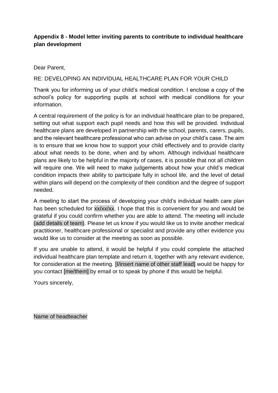#### <span id="page-22-0"></span>**Appendix 8 - Model letter inviting parents to contribute to individual healthcare plan development**

Dear Parent,

#### RE: DEVELOPING AN INDIVIDUAL HEALTHCARE PLAN FOR YOUR CHILD

Thank you for informing us of your child's medical condition. I enclose a copy of the school's policy for supporting pupils at school with medical conditions for your information.

A central requirement of the policy is for an individual healthcare plan to be prepared, setting out what support each pupil needs and how this will be provided. Individual healthcare plans are developed in partnership with the school, parents, carers, pupils, and the relevant healthcare professional who can advise on your child's case. The aim is to ensure that we know how to support your child effectively and to provide clarity about what needs to be done, when and by whom. Although individual healthcare plans are likely to be helpful in the majority of cases, it is possible that not all children will require one. We will need to make judgements about how your child's medical condition impacts their ability to participate fully in school life, and the level of detail within plans will depend on the complexity of their condition and the degree of support needed.

A meeting to start the process of developing your child's individual health care plan has been scheduled for xx/xx/xx. I hope that this is convenient for you and would be grateful if you could confirm whether you are able to attend. The meeting will include (add details of team). Please let us know if you would like us to invite another medical practitioner, healthcare professional or specialist and provide any other evidence you would like us to consider at the meeting as soon as possible.

If you are unable to attend, it would be helpful if you could complete the attached individual healthcare plan template and return it, together with any relevant evidence, for consideration at the meeting. [I/insert name of other staff lead] would be happy for you contact [me/them] by email or to speak by phone if this would be helpful.

Yours sincerely,

Name of headteacher